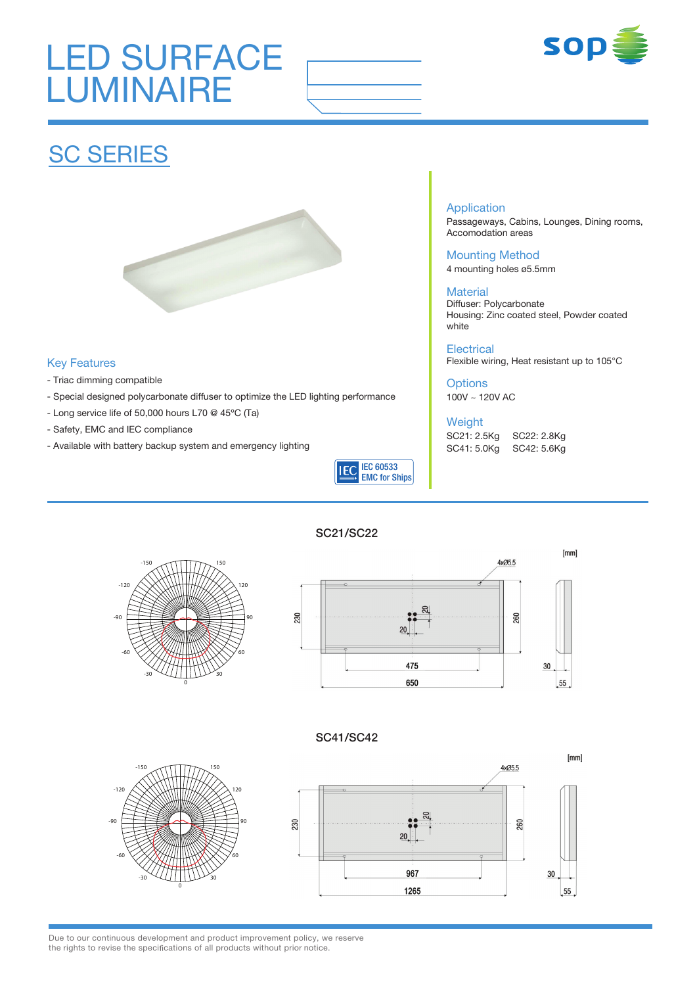# LED SURFACE **LUMINAIRE**



## **SC SERIES**



### Key Features

- Triac dimming compatible
- Special designed polycarbonate diffuser to optimize the LED lighting performance
- Long service life of 50,000 hours L70 @ 45ºC (Ta)
- Safety, EMC and IEC compliance
- Available with battery backup system and emergency lighting



#### Application

Passageways, Cabins, Lounges, Dining rooms, Accomodation areas

Mounting Method 4 mounting holes ø5.5mm

#### **Material**

Diffuser: Polycarbonate Housing: Zinc coated steel, Powder coated white

#### **Electrical**

Flexible wiring, Heat resistant up to 105°C

### **Options**

100V ~ 120V AC

### Weight

SC21: 2.5Kg SC22: 2.8Kg SC41: 5.0Kg SC42: 5.6Kg

#### SC21/SC22





### SC41/SC42





Due to our continuous development and product improvement policy, we reserve the rights to revise the specifications of all products without prior notice.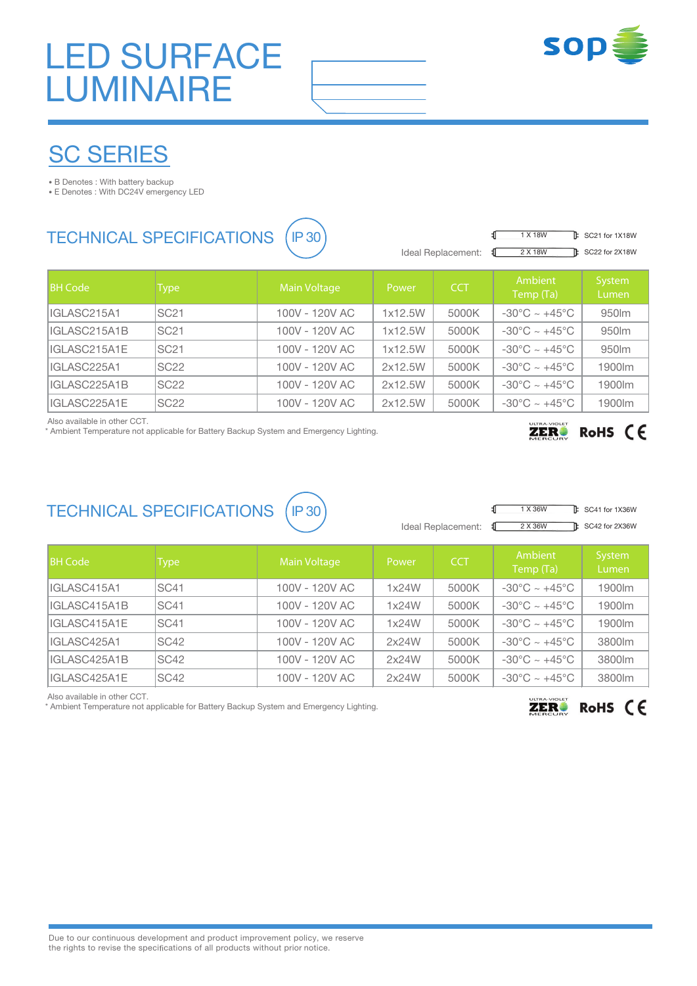# LED SURFACE LUMINAIRE



## SC SERIES

• B Denotes : With battery backup

• E Denotes : With DC24V emergency LED

### TECHNICAL SPECIFICATIONS (IP 30

|                      | <b>IX 18VV</b> |
|----------------------|----------------|
| Ideal Replacement: 1 | 2 X 18W        |
|                      |                |

 $\mathbf{F}$  SC21 for 1X18W  $\mathbb{R}$  SC22 for 2X18W

| <b>BH Code</b> | Type             | Main Voltage   | Power   | <b>CCT</b> | Ambient<br>Temp (Ta)              | System<br>Lumen |
|----------------|------------------|----------------|---------|------------|-----------------------------------|-----------------|
| IIGLASC215A1   | SC <sub>21</sub> | 100V - 120V AC | 1x12.5W | 5000K      | $-30^{\circ}$ C ~ $+45^{\circ}$ C | 950lm           |
| IIGLASC215A1B  | <b>SC21</b>      | 100V - 120V AC | 1x12.5W | 5000K      | $-30^{\circ}$ C ~ $+45^{\circ}$ C | 950lm           |
| IIGLASC215A1E  | <b>SC21</b>      | 100V - 120V AC | 1x12.5W | 5000K      | $-30^{\circ}$ C ~ $+45^{\circ}$ C | 950lm           |
| IIGLASC225A1   | SC <sub>22</sub> | 100V - 120V AC | 2x12.5W | 5000K      | $-30^{\circ}$ C ~ $+45^{\circ}$ C | 1900lm          |
| IIGLASC225A1B  | <b>SC22</b>      | 100V - 120V AC | 2x12.5W | 5000K      | $-30^{\circ}$ C ~ $+45^{\circ}$ C | 1900lm          |
| IIGLASC225A1E  | <b>SC22</b>      | 100V - 120V AC | 2x12.5W | 5000K      | $-30^{\circ}$ C ~ $+45^{\circ}$ C | 1900lm          |

Also available in other CCT.

\* Ambient Temperature not applicable for Battery Backup System and Emergency Lighting.

## $ZER$  RoHS  $CF$

### TECHNICAL SPECIFICATIONS (IP 30)



Ideal Replacement: €

 $\mathbb F$  SC41 for 1X36W 2 X 36W **B** SC42 for 2X36W

| <b>BH Code</b> | <b>Type</b> | <b>Main Voltage</b> | Power | <b>CCT</b> | Ambient<br>Temp (Ta)              | System<br>Lumen |
|----------------|-------------|---------------------|-------|------------|-----------------------------------|-----------------|
| IIGLASC415A1   | ISC41       | 100V - 120V AC      | 1x24W | 5000K      | $-30^{\circ}$ C ~ $+45^{\circ}$ C | 1900lm          |
| IIGLASC415A1B  | SC41        | 100V - 120V AC      | 1x24W | 5000K      | $-30^{\circ}$ C ~ $+45^{\circ}$ C | 1900lm          |
| IIGLASC415A1E  | ISC41       | 100V - 120V AC      | 1x24W | 5000K      | $-30^{\circ}$ C ~ $+45^{\circ}$ C | 1900lm          |
| IIGLASC425A1   | SC42        | 100V - 120V AC      | 2x24W | 5000K      | $-30^{\circ}$ C ~ $+45^{\circ}$ C | 3800lm          |
| IIGLASC425A1B  | SC42        | 100V - 120V AC      | 2x24W | 5000K      | $-30^{\circ}$ C ~ $+45^{\circ}$ C | 3800lm          |
| IIGLASC425A1E  | SC42        | 100V - 120V AC      | 2x24W | 5000K      | $-30^{\circ}$ C ~ $+45^{\circ}$ C | 3800lm          |

Also available in other CCT.

\* Ambient Temperature not applicable for Battery Backup System and Emergency Lighting.